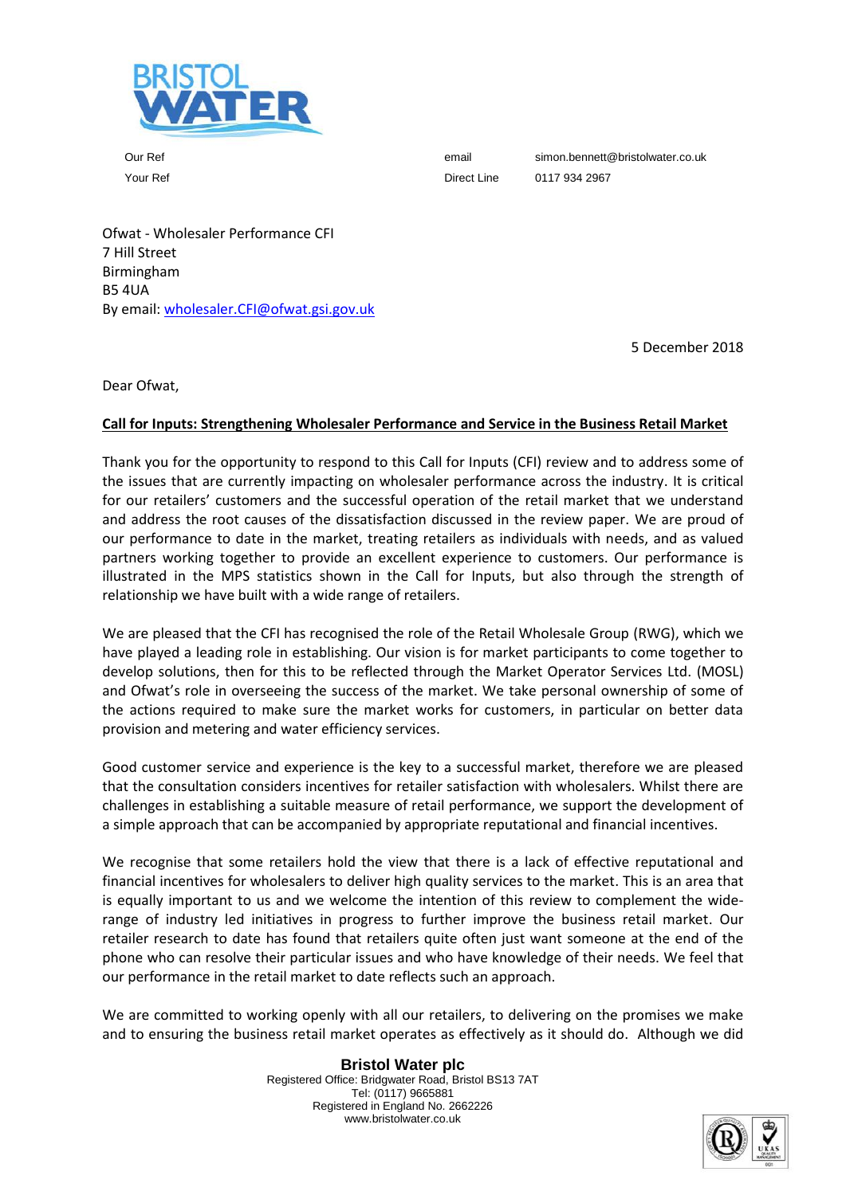

Our Ref email simon.bennett@bristolwater.co.uk Your Ref **Direct Line** 0117 934 2967

Ofwat - Wholesaler Performance CFI 7 Hill Street Birmingham B5 4UA By email: [wholesaler.CFI@ofwat.gsi.gov.uk](mailto:wholesaler.CFI@ofwat.gsi.gov.uk)

5 December 2018

Dear Ofwat,

# **Call for Inputs: Strengthening Wholesaler Performance and Service in the Business Retail Market**

Thank you for the opportunity to respond to this Call for Inputs (CFI) review and to address some of the issues that are currently impacting on wholesaler performance across the industry. It is critical for our retailers' customers and the successful operation of the retail market that we understand and address the root causes of the dissatisfaction discussed in the review paper. We are proud of our performance to date in the market, treating retailers as individuals with needs, and as valued partners working together to provide an excellent experience to customers. Our performance is illustrated in the MPS statistics shown in the Call for Inputs, but also through the strength of relationship we have built with a wide range of retailers.

We are pleased that the CFI has recognised the role of the Retail Wholesale Group (RWG), which we have played a leading role in establishing. Our vision is for market participants to come together to develop solutions, then for this to be reflected through the Market Operator Services Ltd. (MOSL) and Ofwat's role in overseeing the success of the market. We take personal ownership of some of the actions required to make sure the market works for customers, in particular on better data provision and metering and water efficiency services.

Good customer service and experience is the key to a successful market, therefore we are pleased that the consultation considers incentives for retailer satisfaction with wholesalers. Whilst there are challenges in establishing a suitable measure of retail performance, we support the development of a simple approach that can be accompanied by appropriate reputational and financial incentives.

We recognise that some retailers hold the view that there is a lack of effective reputational and financial incentives for wholesalers to deliver high quality services to the market. This is an area that is equally important to us and we welcome the intention of this review to complement the widerange of industry led initiatives in progress to further improve the business retail market. Our retailer research to date has found that retailers quite often just want someone at the end of the phone who can resolve their particular issues and who have knowledge of their needs. We feel that our performance in the retail market to date reflects such an approach.

We are committed to working openly with all our retailers, to delivering on the promises we make and to ensuring the business retail market operates as effectively as it should do. Although we did

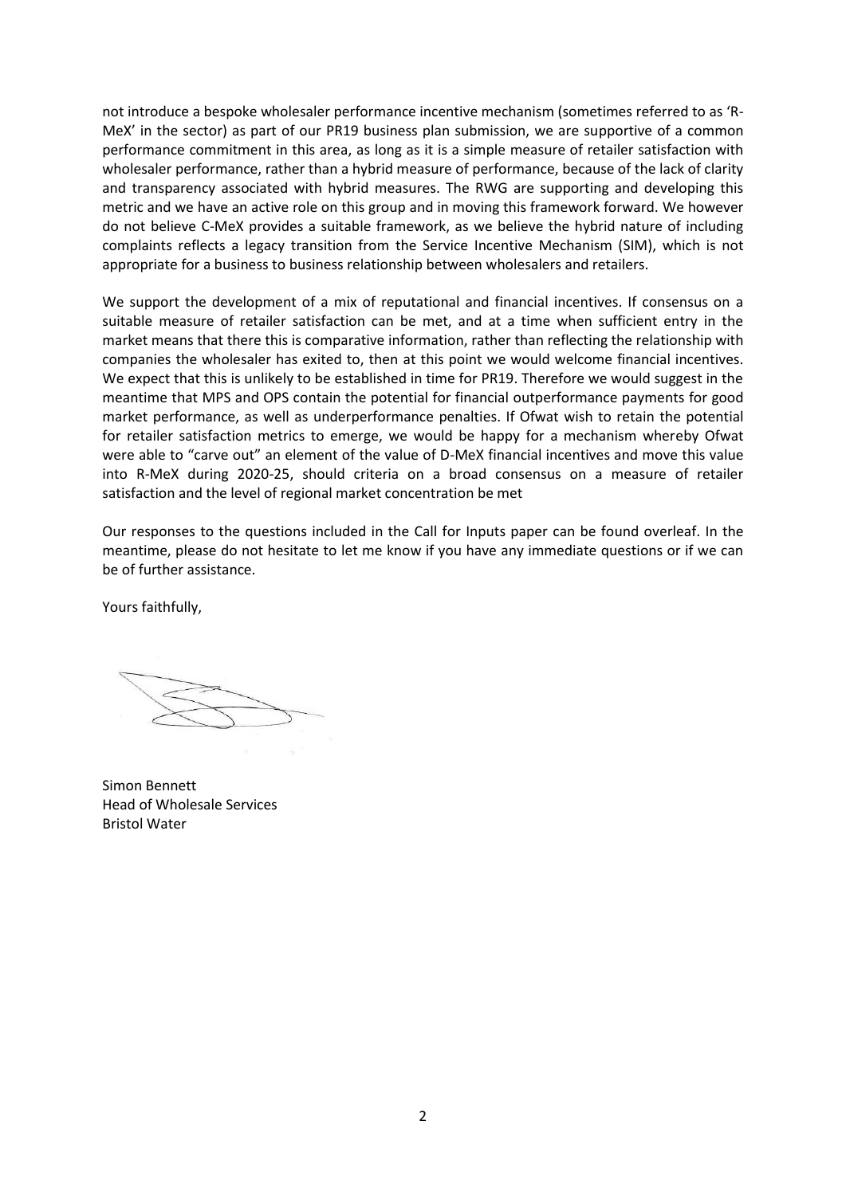not introduce a bespoke wholesaler performance incentive mechanism (sometimes referred to as 'R-MeX' in the sector) as part of our PR19 business plan submission, we are supportive of a common performance commitment in this area, as long as it is a simple measure of retailer satisfaction with wholesaler performance, rather than a hybrid measure of performance, because of the lack of clarity and transparency associated with hybrid measures. The RWG are supporting and developing this metric and we have an active role on this group and in moving this framework forward. We however do not believe C-MeX provides a suitable framework, as we believe the hybrid nature of including complaints reflects a legacy transition from the Service Incentive Mechanism (SIM), which is not appropriate for a business to business relationship between wholesalers and retailers.

We support the development of a mix of reputational and financial incentives. If consensus on a suitable measure of retailer satisfaction can be met, and at a time when sufficient entry in the market means that there this is comparative information, rather than reflecting the relationship with companies the wholesaler has exited to, then at this point we would welcome financial incentives. We expect that this is unlikely to be established in time for PR19. Therefore we would suggest in the meantime that MPS and OPS contain the potential for financial outperformance payments for good market performance, as well as underperformance penalties. If Ofwat wish to retain the potential for retailer satisfaction metrics to emerge, we would be happy for a mechanism whereby Ofwat were able to "carve out" an element of the value of D-MeX financial incentives and move this value into R-MeX during 2020-25, should criteria on a broad consensus on a measure of retailer satisfaction and the level of regional market concentration be met

Our responses to the questions included in the Call for Inputs paper can be found overleaf. In the meantime, please do not hesitate to let me know if you have any immediate questions or if we can be of further assistance.

Yours faithfully,

Simon Bennett Head of Wholesale Services Bristol Water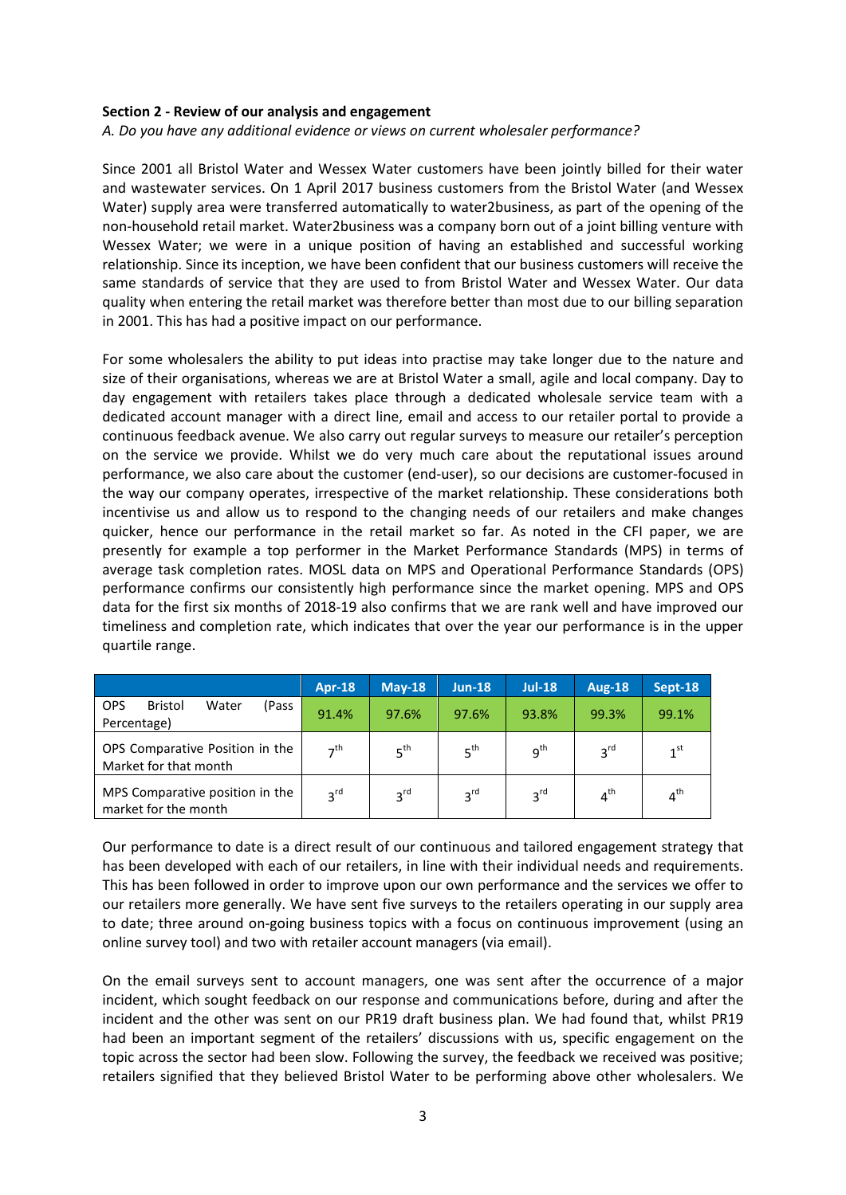#### **Section 2 - Review of our analysis and engagement**

*A. Do you have any additional evidence or views on current wholesaler performance?* 

Since 2001 all Bristol Water and Wessex Water customers have been jointly billed for their water and wastewater services. On 1 April 2017 business customers from the Bristol Water (and Wessex Water) supply area were transferred automatically to water2business, as part of the opening of the non-household retail market. Water2business was a company born out of a joint billing venture with Wessex Water; we were in a unique position of having an established and successful working relationship. Since its inception, we have been confident that our business customers will receive the same standards of service that they are used to from Bristol Water and Wessex Water. Our data quality when entering the retail market was therefore better than most due to our billing separation in 2001. This has had a positive impact on our performance.

For some wholesalers the ability to put ideas into practise may take longer due to the nature and size of their organisations, whereas we are at Bristol Water a small, agile and local company. Day to day engagement with retailers takes place through a dedicated wholesale service team with a dedicated account manager with a direct line, email and access to our retailer portal to provide a continuous feedback avenue. We also carry out regular surveys to measure our retailer's perception on the service we provide. Whilst we do very much care about the reputational issues around performance, we also care about the customer (end-user), so our decisions are customer-focused in the way our company operates, irrespective of the market relationship. These considerations both incentivise us and allow us to respond to the changing needs of our retailers and make changes quicker, hence our performance in the retail market so far. As noted in the CFI paper, we are presently for example a top performer in the Market Performance Standards (MPS) in terms of average task completion rates. MOSL data on MPS and Operational Performance Standards (OPS) performance confirms our consistently high performance since the market opening. MPS and OPS data for the first six months of 2018-19 also confirms that we are rank well and have improved our timeliness and completion rate, which indicates that over the year our performance is in the upper quartile range.

|                                                               | <b>Apr-18</b>   | $May-18$        | $Jun-18$        | <b>Jul-18</b>   | <b>Aug-18</b>   | Sept-18         |
|---------------------------------------------------------------|-----------------|-----------------|-----------------|-----------------|-----------------|-----------------|
| <b>OPS</b><br><b>Bristol</b><br>Water<br>(Pass<br>Percentage) | 91.4%           | 97.6%           | 97.6%           | 93.8%           | 99.3%           | 99.1%           |
| OPS Comparative Position in the<br>Market for that month      | 7 <sup>th</sup> | 5 <sup>th</sup> | 5 <sup>th</sup> | $q^{th}$        | 3 <sup>rd</sup> | 1 <sup>st</sup> |
| MPS Comparative position in the<br>market for the month       | 3 <sup>rd</sup> | 3 <sup>rd</sup> | 3 <sup>rd</sup> | 3 <sup>rd</sup> | 4 <sup>th</sup> | $4^{\text{th}}$ |

Our performance to date is a direct result of our continuous and tailored engagement strategy that has been developed with each of our retailers, in line with their individual needs and requirements. This has been followed in order to improve upon our own performance and the services we offer to our retailers more generally. We have sent five surveys to the retailers operating in our supply area to date; three around on-going business topics with a focus on continuous improvement (using an online survey tool) and two with retailer account managers (via email).

On the email surveys sent to account managers, one was sent after the occurrence of a major incident, which sought feedback on our response and communications before, during and after the incident and the other was sent on our PR19 draft business plan. We had found that, whilst PR19 had been an important segment of the retailers' discussions with us, specific engagement on the topic across the sector had been slow. Following the survey, the feedback we received was positive; retailers signified that they believed Bristol Water to be performing above other wholesalers. We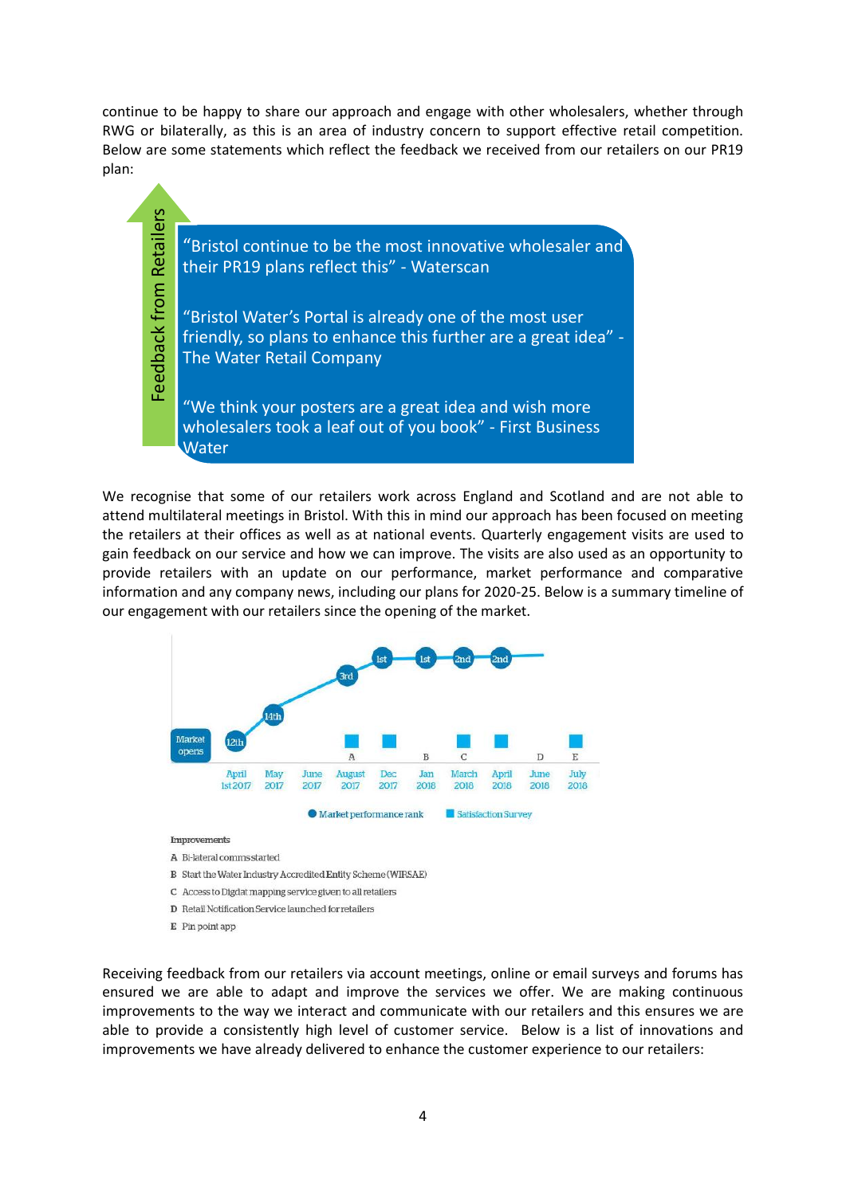continue to be happy to share our approach and engage with other wholesalers, whether through RWG or bilaterally, as this is an area of industry concern to support effective retail competition. Below are some statements which reflect the feedback we received from our retailers on our PR19 plan:



We recognise that some of our retailers work across England and Scotland and are not able to attend multilateral meetings in Bristol. With this in mind our approach has been focused on meeting the retailers at their offices as well as at national events. Quarterly engagement visits are used to gain feedback on our service and how we can improve. The visits are also used as an opportunity to provide retailers with an update on our performance, market performance and comparative information and any company news, including our plans for 2020-25. Below is a summary timeline of our engagement with our retailers since the opening of the market.



A Bi-lateral comms started

- B Start the Water Industry Accredited Entity Scheme (WIRSAE)
- C Access to Digdat mapping service given to all retailers
- D Retail Notification Service launched for retailers
- E Pin point app

Receiving feedback from our retailers via account meetings, online or email surveys and forums has ensured we are able to adapt and improve the services we offer. We are making continuous improvements to the way we interact and communicate with our retailers and this ensures we are able to provide a consistently high level of customer service. Below is a list of innovations and improvements we have already delivered to enhance the customer experience to our retailers: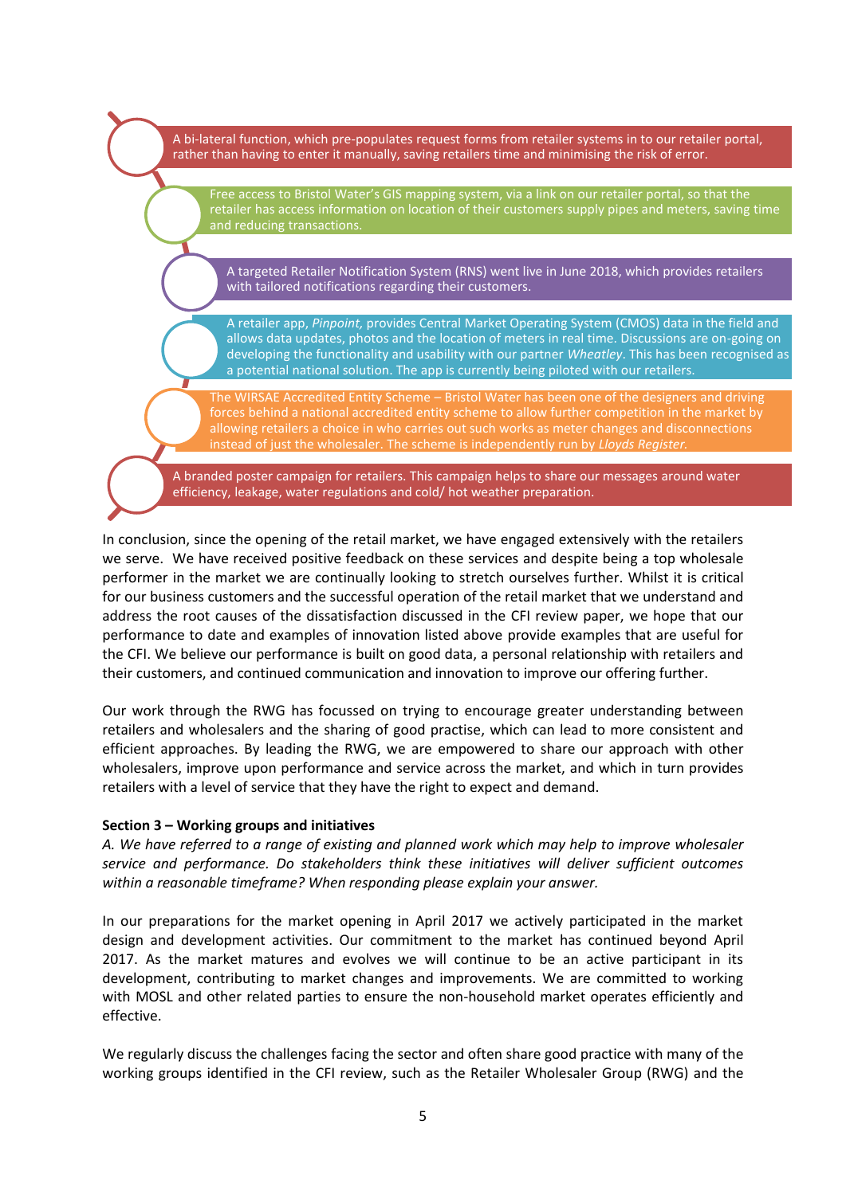A bi-lateral function, which pre-populates request forms from retailer systems in to our retailer portal, rather than having to enter it manually, saving retailers time and minimising the risk of error.

Free access to Bristol Water's GIS mapping system, via a link on our retailer portal, so that the retailer has access information on location of their customers supply pipes and meters, saving time and reducing transactions.

A targeted Retailer Notification System (RNS) went live in June 2018, which provides retailers with tailored notifications regarding their customers.

A retailer app, *Pinpoint,* provides Central Market Operating System (CMOS) data in the field and allows data updates, photos and the location of meters in real time. Discussions are on-going on developing the functionality and usability with our partner *Wheatley*. This has been recognised as a potential national solution. The app is currently being piloted with our retailers.

The WIRSAE Accredited Entity Scheme – Bristol Water has been one of the designers and driving forces behind a national accredited entity scheme to allow further competition in the market by allowing retailers a choice in who carries out such works as meter changes and disconnections instead of just the wholesaler. The scheme is independently run by *Lloyds Register.*

A branded poster campaign for retailers. This campaign helps to share our messages around water efficiency, leakage, water regulations and cold/ hot weather preparation.

In conclusion, since the opening of the retail market, we have engaged extensively with the retailers we serve. We have received positive feedback on these services and despite being a top wholesale performer in the market we are continually looking to stretch ourselves further. Whilst it is critical for our business customers and the successful operation of the retail market that we understand and address the root causes of the dissatisfaction discussed in the CFI review paper, we hope that our performance to date and examples of innovation listed above provide examples that are useful for the CFI. We believe our performance is built on good data, a personal relationship with retailers and their customers, and continued communication and innovation to improve our offering further.

Our work through the RWG has focussed on trying to encourage greater understanding between retailers and wholesalers and the sharing of good practise, which can lead to more consistent and efficient approaches. By leading the RWG, we are empowered to share our approach with other wholesalers, improve upon performance and service across the market, and which in turn provides retailers with a level of service that they have the right to expect and demand.

#### **Section 3 – Working groups and initiatives**

*A. We have referred to a range of existing and planned work which may help to improve wholesaler service and performance. Do stakeholders think these initiatives will deliver sufficient outcomes within a reasonable timeframe? When responding please explain your answer.*

In our preparations for the market opening in April 2017 we actively participated in the market design and development activities. Our commitment to the market has continued beyond April 2017. As the market matures and evolves we will continue to be an active participant in its development, contributing to market changes and improvements. We are committed to working with MOSL and other related parties to ensure the non-household market operates efficiently and effective.

We regularly discuss the challenges facing the sector and often share good practice with many of the working groups identified in the CFI review, such as the Retailer Wholesaler Group (RWG) and the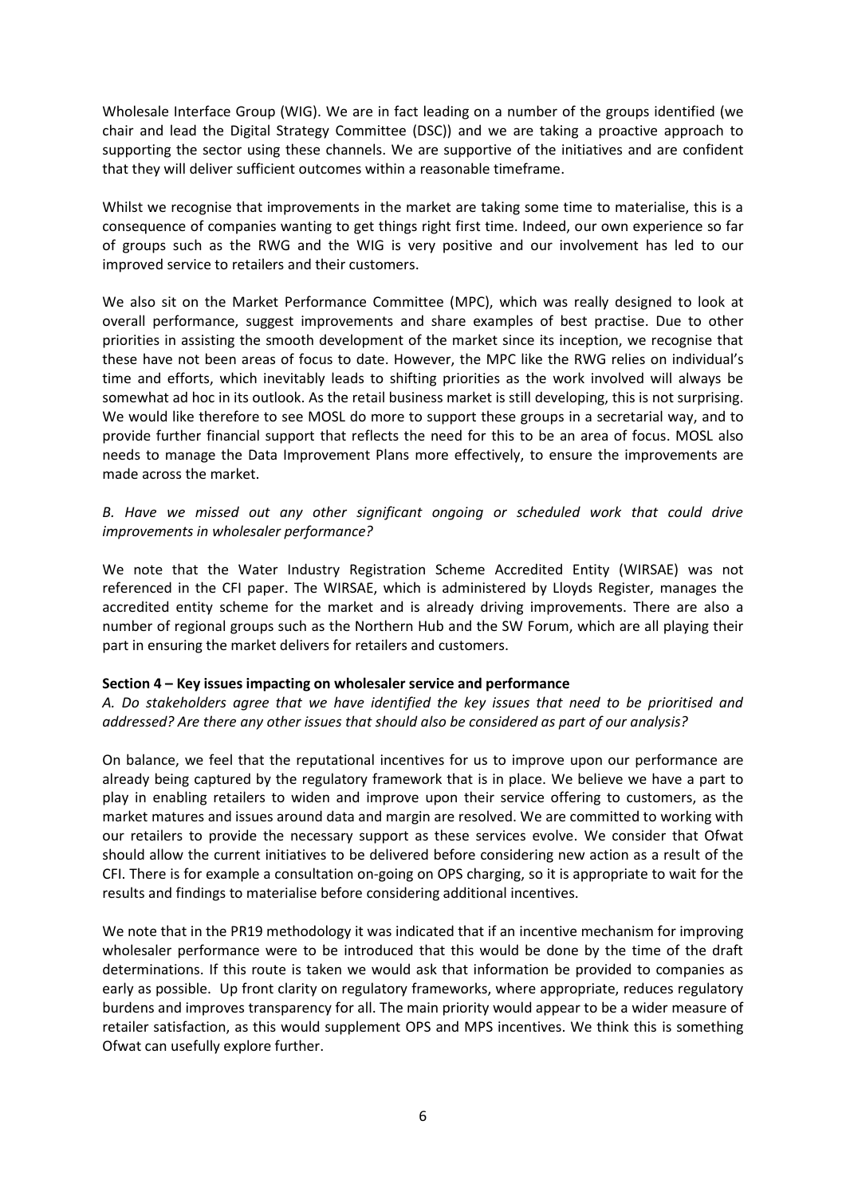Wholesale Interface Group (WIG). We are in fact leading on a number of the groups identified (we chair and lead the Digital Strategy Committee (DSC)) and we are taking a proactive approach to supporting the sector using these channels. We are supportive of the initiatives and are confident that they will deliver sufficient outcomes within a reasonable timeframe.

Whilst we recognise that improvements in the market are taking some time to materialise, this is a consequence of companies wanting to get things right first time. Indeed, our own experience so far of groups such as the RWG and the WIG is very positive and our involvement has led to our improved service to retailers and their customers.

We also sit on the Market Performance Committee (MPC), which was really designed to look at overall performance, suggest improvements and share examples of best practise. Due to other priorities in assisting the smooth development of the market since its inception, we recognise that these have not been areas of focus to date. However, the MPC like the RWG relies on individual's time and efforts, which inevitably leads to shifting priorities as the work involved will always be somewhat ad hoc in its outlook. As the retail business market is still developing, this is not surprising. We would like therefore to see MOSL do more to support these groups in a secretarial way, and to provide further financial support that reflects the need for this to be an area of focus. MOSL also needs to manage the Data Improvement Plans more effectively, to ensure the improvements are made across the market.

# *B. Have we missed out any other significant ongoing or scheduled work that could drive improvements in wholesaler performance?*

We note that the Water Industry Registration Scheme Accredited Entity (WIRSAE) was not referenced in the CFI paper. The WIRSAE, which is administered by Lloyds Register, manages the accredited entity scheme for the market and is already driving improvements. There are also a number of regional groups such as the Northern Hub and the SW Forum, which are all playing their part in ensuring the market delivers for retailers and customers.

#### **Section 4 – Key issues impacting on wholesaler service and performance**

*A. Do stakeholders agree that we have identified the key issues that need to be prioritised and addressed? Are there any other issues that should also be considered as part of our analysis?* 

On balance, we feel that the reputational incentives for us to improve upon our performance are already being captured by the regulatory framework that is in place. We believe we have a part to play in enabling retailers to widen and improve upon their service offering to customers, as the market matures and issues around data and margin are resolved. We are committed to working with our retailers to provide the necessary support as these services evolve. We consider that Ofwat should allow the current initiatives to be delivered before considering new action as a result of the CFI. There is for example a consultation on-going on OPS charging, so it is appropriate to wait for the results and findings to materialise before considering additional incentives.

We note that in the PR19 methodology it was indicated that if an incentive mechanism for improving wholesaler performance were to be introduced that this would be done by the time of the draft determinations. If this route is taken we would ask that information be provided to companies as early as possible. Up front clarity on regulatory frameworks, where appropriate, reduces regulatory burdens and improves transparency for all. The main priority would appear to be a wider measure of retailer satisfaction, as this would supplement OPS and MPS incentives. We think this is something Ofwat can usefully explore further.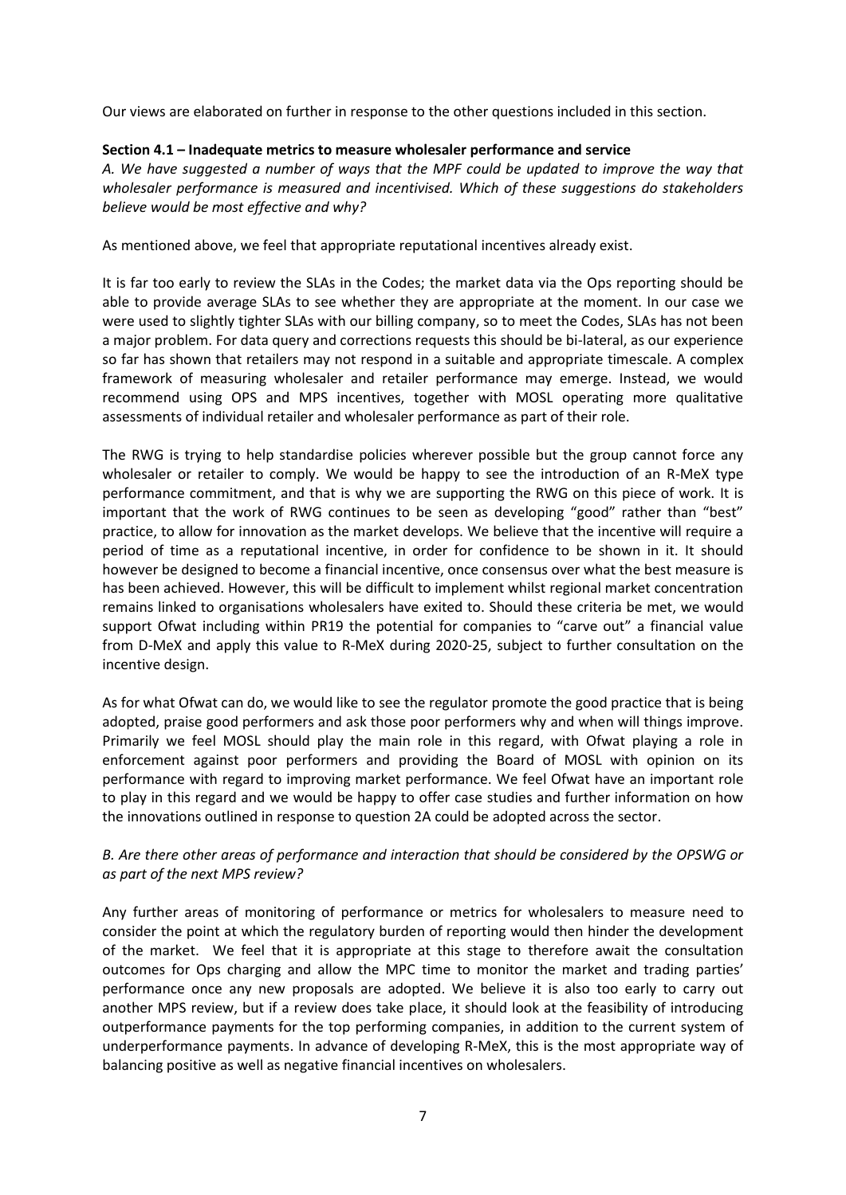Our views are elaborated on further in response to the other questions included in this section.

### **Section 4.1 – Inadequate metrics to measure wholesaler performance and service**

*A. We have suggested a number of ways that the MPF could be updated to improve the way that wholesaler performance is measured and incentivised. Which of these suggestions do stakeholders believe would be most effective and why?* 

As mentioned above, we feel that appropriate reputational incentives already exist.

It is far too early to review the SLAs in the Codes; the market data via the Ops reporting should be able to provide average SLAs to see whether they are appropriate at the moment. In our case we were used to slightly tighter SLAs with our billing company, so to meet the Codes, SLAs has not been a major problem. For data query and corrections requests this should be bi-lateral, as our experience so far has shown that retailers may not respond in a suitable and appropriate timescale. A complex framework of measuring wholesaler and retailer performance may emerge. Instead, we would recommend using OPS and MPS incentives, together with MOSL operating more qualitative assessments of individual retailer and wholesaler performance as part of their role.

The RWG is trying to help standardise policies wherever possible but the group cannot force any wholesaler or retailer to comply. We would be happy to see the introduction of an R-MeX type performance commitment, and that is why we are supporting the RWG on this piece of work. It is important that the work of RWG continues to be seen as developing "good" rather than "best" practice, to allow for innovation as the market develops. We believe that the incentive will require a period of time as a reputational incentive, in order for confidence to be shown in it. It should however be designed to become a financial incentive, once consensus over what the best measure is has been achieved. However, this will be difficult to implement whilst regional market concentration remains linked to organisations wholesalers have exited to. Should these criteria be met, we would support Ofwat including within PR19 the potential for companies to "carve out" a financial value from D-MeX and apply this value to R-MeX during 2020-25, subject to further consultation on the incentive design.

As for what Ofwat can do, we would like to see the regulator promote the good practice that is being adopted, praise good performers and ask those poor performers why and when will things improve. Primarily we feel MOSL should play the main role in this regard, with Ofwat playing a role in enforcement against poor performers and providing the Board of MOSL with opinion on its performance with regard to improving market performance. We feel Ofwat have an important role to play in this regard and we would be happy to offer case studies and further information on how the innovations outlined in response to question 2A could be adopted across the sector.

# *B. Are there other areas of performance and interaction that should be considered by the OPSWG or as part of the next MPS review?*

Any further areas of monitoring of performance or metrics for wholesalers to measure need to consider the point at which the regulatory burden of reporting would then hinder the development of the market. We feel that it is appropriate at this stage to therefore await the consultation outcomes for Ops charging and allow the MPC time to monitor the market and trading parties' performance once any new proposals are adopted. We believe it is also too early to carry out another MPS review, but if a review does take place, it should look at the feasibility of introducing outperformance payments for the top performing companies, in addition to the current system of underperformance payments. In advance of developing R-MeX, this is the most appropriate way of balancing positive as well as negative financial incentives on wholesalers.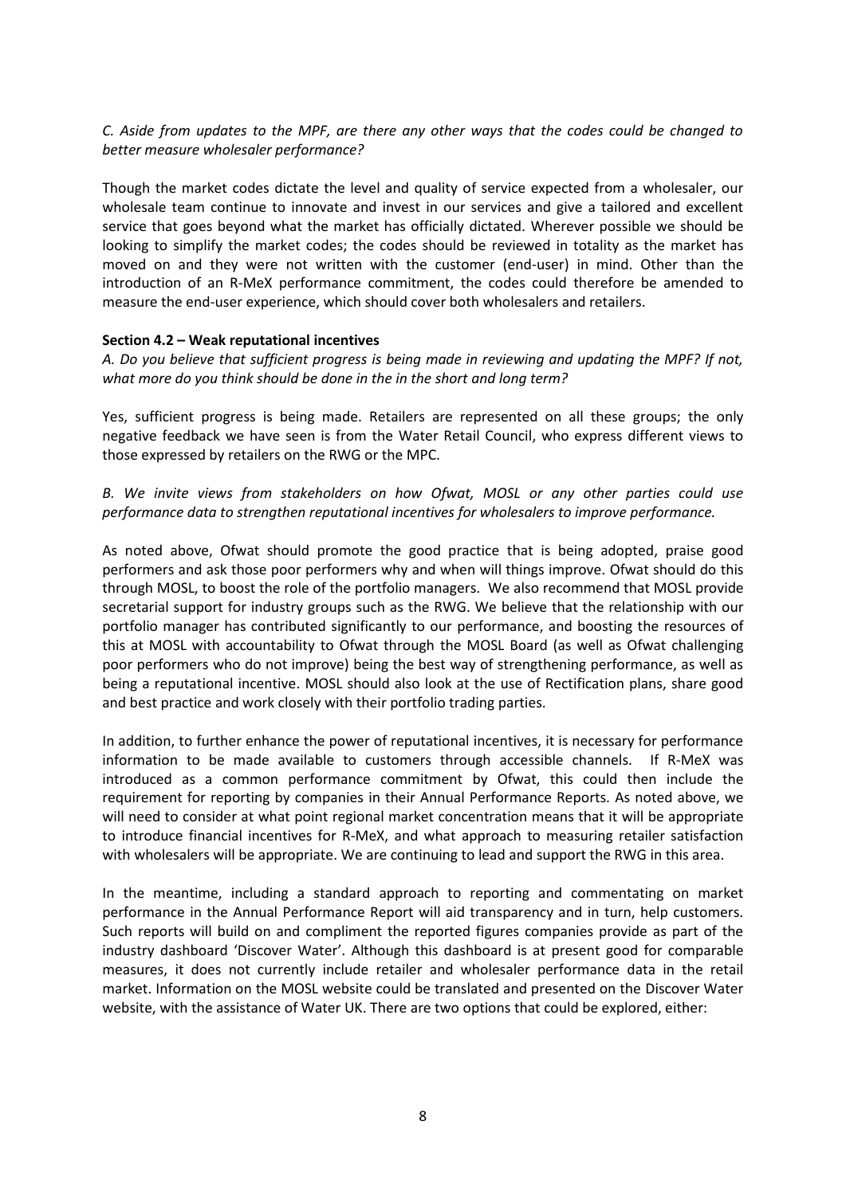## *C. Aside from updates to the MPF, are there any other ways that the codes could be changed to better measure wholesaler performance?*

Though the market codes dictate the level and quality of service expected from a wholesaler, our wholesale team continue to innovate and invest in our services and give a tailored and excellent service that goes beyond what the market has officially dictated. Wherever possible we should be looking to simplify the market codes; the codes should be reviewed in totality as the market has moved on and they were not written with the customer (end-user) in mind. Other than the introduction of an R-MeX performance commitment, the codes could therefore be amended to measure the end-user experience, which should cover both wholesalers and retailers.

#### **Section 4.2 – Weak reputational incentives**

*A. Do you believe that sufficient progress is being made in reviewing and updating the MPF? If not, what more do you think should be done in the in the short and long term?* 

Yes, sufficient progress is being made. Retailers are represented on all these groups; the only negative feedback we have seen is from the Water Retail Council, who express different views to those expressed by retailers on the RWG or the MPC.

*B. We invite views from stakeholders on how Ofwat, MOSL or any other parties could use performance data to strengthen reputational incentives for wholesalers to improve performance.* 

As noted above, Ofwat should promote the good practice that is being adopted, praise good performers and ask those poor performers why and when will things improve. Ofwat should do this through MOSL, to boost the role of the portfolio managers. We also recommend that MOSL provide secretarial support for industry groups such as the RWG. We believe that the relationship with our portfolio manager has contributed significantly to our performance, and boosting the resources of this at MOSL with accountability to Ofwat through the MOSL Board (as well as Ofwat challenging poor performers who do not improve) being the best way of strengthening performance, as well as being a reputational incentive. MOSL should also look at the use of Rectification plans, share good and best practice and work closely with their portfolio trading parties.

In addition, to further enhance the power of reputational incentives, it is necessary for performance information to be made available to customers through accessible channels. If R-MeX was introduced as a common performance commitment by Ofwat, this could then include the requirement for reporting by companies in their Annual Performance Reports. As noted above, we will need to consider at what point regional market concentration means that it will be appropriate to introduce financial incentives for R-MeX, and what approach to measuring retailer satisfaction with wholesalers will be appropriate. We are continuing to lead and support the RWG in this area.

In the meantime, including a standard approach to reporting and commentating on market performance in the Annual Performance Report will aid transparency and in turn, help customers. Such reports will build on and compliment the reported figures companies provide as part of the industry dashboard 'Discover Water'. Although this dashboard is at present good for comparable measures, it does not currently include retailer and wholesaler performance data in the retail market. Information on the MOSL website could be translated and presented on the Discover Water website, with the assistance of Water UK. There are two options that could be explored, either: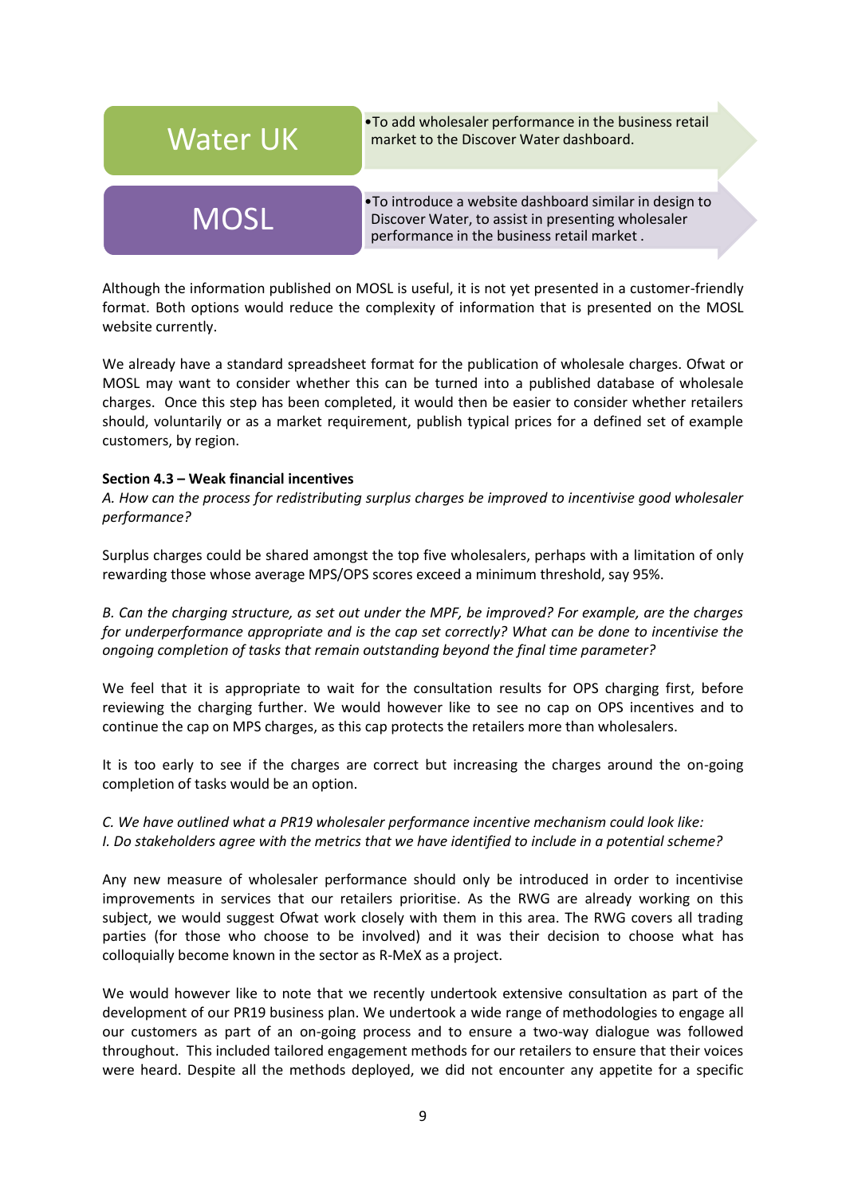

•To add wholesaler performance in the business retail

•To introduce a website dashboard similar in design to MOSL Discover Water, to assist in presenting wholesaler performance in the business retail market .

Although the information published on MOSL is useful, it is not yet presented in a customer-friendly format. Both options would reduce the complexity of information that is presented on the MOSL website currently.

We already have a standard spreadsheet format for the publication of wholesale charges. Ofwat or MOSL may want to consider whether this can be turned into a published database of wholesale charges. Once this step has been completed, it would then be easier to consider whether retailers should, voluntarily or as a market requirement, publish typical prices for a defined set of example customers, by region.

#### **Section 4.3 – Weak financial incentives**

*A. How can the process for redistributing surplus charges be improved to incentivise good wholesaler performance?* 

Surplus charges could be shared amongst the top five wholesalers, perhaps with a limitation of only rewarding those whose average MPS/OPS scores exceed a minimum threshold, say 95%.

*B. Can the charging structure, as set out under the MPF, be improved? For example, are the charges for underperformance appropriate and is the cap set correctly? What can be done to incentivise the ongoing completion of tasks that remain outstanding beyond the final time parameter?* 

We feel that it is appropriate to wait for the consultation results for OPS charging first, before reviewing the charging further. We would however like to see no cap on OPS incentives and to continue the cap on MPS charges, as this cap protects the retailers more than wholesalers.

It is too early to see if the charges are correct but increasing the charges around the on-going completion of tasks would be an option.

# *C. We have outlined what a PR19 wholesaler performance incentive mechanism could look like: I. Do stakeholders agree with the metrics that we have identified to include in a potential scheme?*

Any new measure of wholesaler performance should only be introduced in order to incentivise improvements in services that our retailers prioritise. As the RWG are already working on this subject, we would suggest Ofwat work closely with them in this area. The RWG covers all trading parties (for those who choose to be involved) and it was their decision to choose what has colloquially become known in the sector as R-MeX as a project.

We would however like to note that we recently undertook extensive consultation as part of the development of our PR19 business plan. We undertook a wide range of methodologies to engage all our customers as part of an on-going process and to ensure a two-way dialogue was followed throughout. This included tailored engagement methods for our retailers to ensure that their voices were heard. Despite all the methods deployed, we did not encounter any appetite for a specific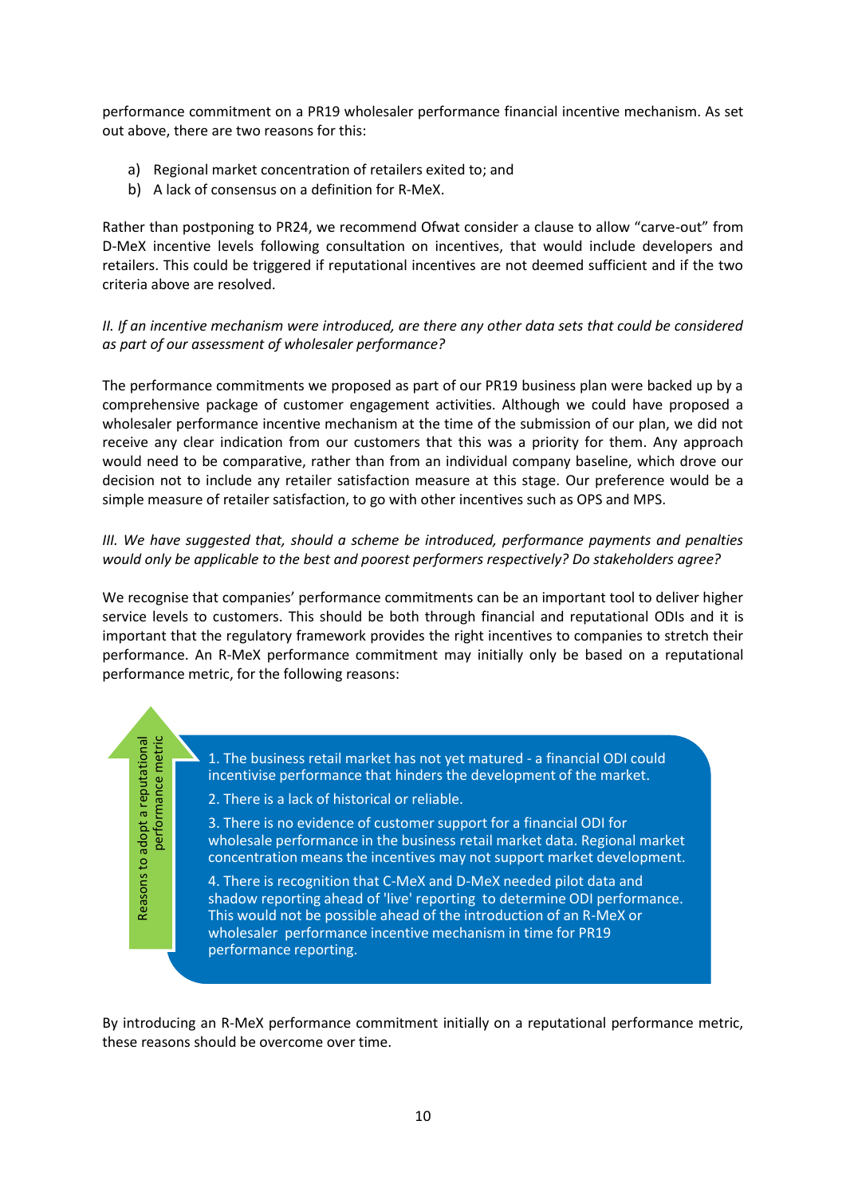performance commitment on a PR19 wholesaler performance financial incentive mechanism. As set out above, there are two reasons for this:

- a) Regional market concentration of retailers exited to; and
- b) A lack of consensus on a definition for R-MeX.

Rather than postponing to PR24, we recommend Ofwat consider a clause to allow "carve-out" from D-MeX incentive levels following consultation on incentives, that would include developers and retailers. This could be triggered if reputational incentives are not deemed sufficient and if the two criteria above are resolved.

## *II. If an incentive mechanism were introduced, are there any other data sets that could be considered as part of our assessment of wholesaler performance?*

The performance commitments we proposed as part of our PR19 business plan were backed up by a comprehensive package of customer engagement activities. Although we could have proposed a wholesaler performance incentive mechanism at the time of the submission of our plan, we did not receive any clear indication from our customers that this was a priority for them. Any approach would need to be comparative, rather than from an individual company baseline, which drove our decision not to include any retailer satisfaction measure at this stage. Our preference would be a simple measure of retailer satisfaction, to go with other incentives such as OPS and MPS.

## *III. We have suggested that, should a scheme be introduced, performance payments and penalties would only be applicable to the best and poorest performers respectively? Do stakeholders agree?*

We recognise that companies' performance commitments can be an important tool to deliver higher service levels to customers. This should be both through financial and reputational ODIs and it is important that the regulatory framework provides the right incentives to companies to stretch their performance. An R-MeX performance commitment may initially only be based on a reputational performance metric, for the following reasons:

Reasons to adopt a reputational Reasons to adopt a reputational performance metric performance metric

1. The business retail market has not yet matured - a financial ODI could incentivise performance that hinders the development of the market.

2. There is a lack of historical or reliable.

3. There is no evidence of customer support for a financial ODI for wholesale performance in the business retail market data. Regional market concentration means the incentives may not support market development.

4. There is recognition that C-MeX and D-MeX needed pilot data and shadow reporting ahead of 'live' reporting to determine ODI performance. This would not be possible ahead of the introduction of an R-MeX or wholesaler performance incentive mechanism in time for PR19 performance reporting.

By introducing an R-MeX performance commitment initially on a reputational performance metric, these reasons should be overcome over time.